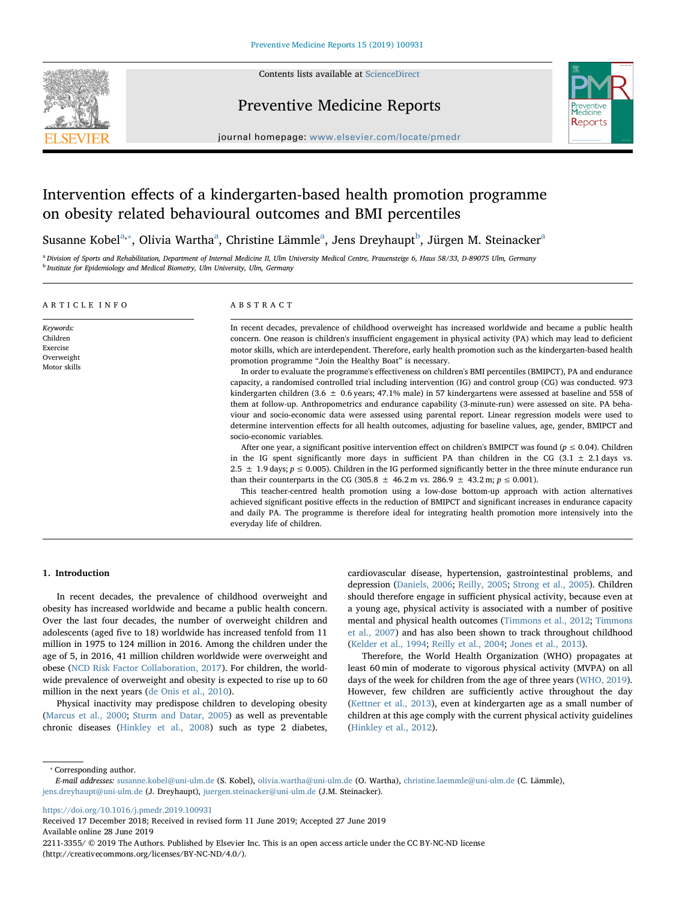

Contents lists available at [ScienceDirect](http://www.sciencedirect.com/science/journal/22113355)

## Preventive Medicine Reports



journal homepage: [www.elsevier.com/locate/pmedr](https://www.elsevier.com/locate/pmedr)

# Intervention effects of a kindergarten-based health promotion programme on obesity related behavioural outcomes and BMI percentiles

Sus[a](#page-0-0)nne Ko[b](#page-0-2)el $^{\rm a, *}$ , Olivia Wartha $^{\rm a}$ , Christine Lämmle $^{\rm a}$ , Jens Dreyhaupt $^{\rm b}$ , Jürgen M. Steinacker $^{\rm a}$ 

<span id="page-0-2"></span><span id="page-0-0"></span><sup>a</sup> Division of Sports and Rehabilitation, Department of Internal Medicine II, Ulm University Medical Centre, Frauensteige 6, Haus 58/33, D-89075 Ulm, Germany <sup>b</sup> Institute for Epidemiology and Medical Biometry, Ulm University, Ulm, Germany

## ARTICLE INFO

Keywords: Children Exercise Overweight Motor skills

## ABSTRACT

In recent decades, prevalence of childhood overweight has increased worldwide and became a public health concern. One reason is children's insufficient engagement in physical activity (PA) which may lead to deficient motor skills, which are interdependent. Therefore, early health promotion such as the kindergarten-based health promotion programme "Join the Healthy Boat" is necessary.

In order to evaluate the programme's effectiveness on children's BMI percentiles (BMIPCT), PA and endurance capacity, a randomised controlled trial including intervention (IG) and control group (CG) was conducted. 973 kindergarten children (3.6  $\pm$  0.6 years; 47.1% male) in 57 kindergartens were assessed at baseline and 558 of them at follow-up. Anthropometrics and endurance capability (3-minute-run) were assessed on site. PA behaviour and socio-economic data were assessed using parental report. Linear regression models were used to determine intervention effects for all health outcomes, adjusting for baseline values, age, gender, BMIPCT and socio-economic variables.

After one year, a significant positive intervention effect on children's BMIPCT was found ( $p \le 0.04$ ). Children in the IG spent significantly more days in sufficient PA than children in the CG (3.1  $\pm$  2.1 days vs. 2.5  $\pm$  1.9 days;  $p \le 0.005$ ). Children in the IG performed significantly better in the three minute endurance run than their counterparts in the CG (305.8  $\pm$  46.2 m vs. 286.9  $\pm$  43.2 m;  $p \le 0.001$ ).

This teacher-centred health promotion using a low-dose bottom-up approach with action alternatives achieved significant positive effects in the reduction of BMIPCT and significant increases in endurance capacity and daily PA. The programme is therefore ideal for integrating health promotion more intensively into the everyday life of children.

## 1. Introduction

In recent decades, the prevalence of childhood overweight and obesity has increased worldwide and became a public health concern. Over the last four decades, the number of overweight children and adolescents (aged five to 18) worldwide has increased tenfold from 11 million in 1975 to 124 million in 2016. Among the children under the age of 5, in 2016, 41 million children worldwide were overweight and obese [\(NCD Risk Factor Collaboration, 2017](#page-6-0)). For children, the worldwide prevalence of overweight and obesity is expected to rise up to 60 million in the next years ([de Onis et al., 2010](#page-5-0)).

Physical inactivity may predispose children to developing obesity ([Marcus et al., 2000;](#page-6-1) [Sturm and Datar, 2005](#page-6-2)) as well as preventable chronic diseases ([Hinkley et al., 2008\)](#page-5-1) such as type 2 diabetes,

cardiovascular disease, hypertension, gastrointestinal problems, and depression ([Daniels, 2006;](#page-5-2) [Reilly, 2005](#page-6-3); [Strong et al., 2005](#page-6-4)). Children should therefore engage in sufficient physical activity, because even at a young age, physical activity is associated with a number of positive mental and physical health outcomes [\(Timmons et al., 2012](#page-6-5); [Timmons](#page-6-6) [et al., 2007](#page-6-6)) and has also been shown to track throughout childhood ([Kelder et al., 1994;](#page-5-3) [Reilly et al., 2004;](#page-6-7) [Jones et al., 2013\)](#page-5-4).

Therefore, the World Health Organization (WHO) propagates at least 60 min of moderate to vigorous physical activity (MVPA) on all days of the week for children from the age of three years ([WHO, 2019](#page-6-8)). However, few children are sufficiently active throughout the day ([Kettner et al., 2013](#page-5-5)), even at kindergarten age as a small number of children at this age comply with the current physical activity guidelines ([Hinkley et al., 2012\)](#page-5-6).

<span id="page-0-1"></span>⁎ Corresponding author.

<https://doi.org/10.1016/j.pmedr.2019.100931>

Received 17 December 2018; Received in revised form 11 June 2019; Accepted 27 June 2019 Available online 28 June 2019

2211-3355/ © 2019 The Authors. Published by Elsevier Inc. This is an open access article under the CC BY-NC-ND license (http://creativecommons.org/licenses/BY-NC-ND/4.0/).

E-mail addresses: [susanne.kobel@uni-ulm.de](mailto:susanne.kobel@uni-ulm.de) (S. Kobel), [olivia.wartha@uni-ulm.de](mailto:olivia.wartha@uni-ulm.de) (O. Wartha), [christine.laemmle@uni-ulm.de](mailto:christine.laemmle@uni-ulm.de) (C. Lämmle), [jens.dreyhaupt@uni-ulm.de](mailto:jens.dreyhaupt@uni-ulm.de) (J. Dreyhaupt), [juergen.steinacker@uni-ulm.de](mailto:juergen.steinacker@uni-ulm.de) (J.M. Steinacker).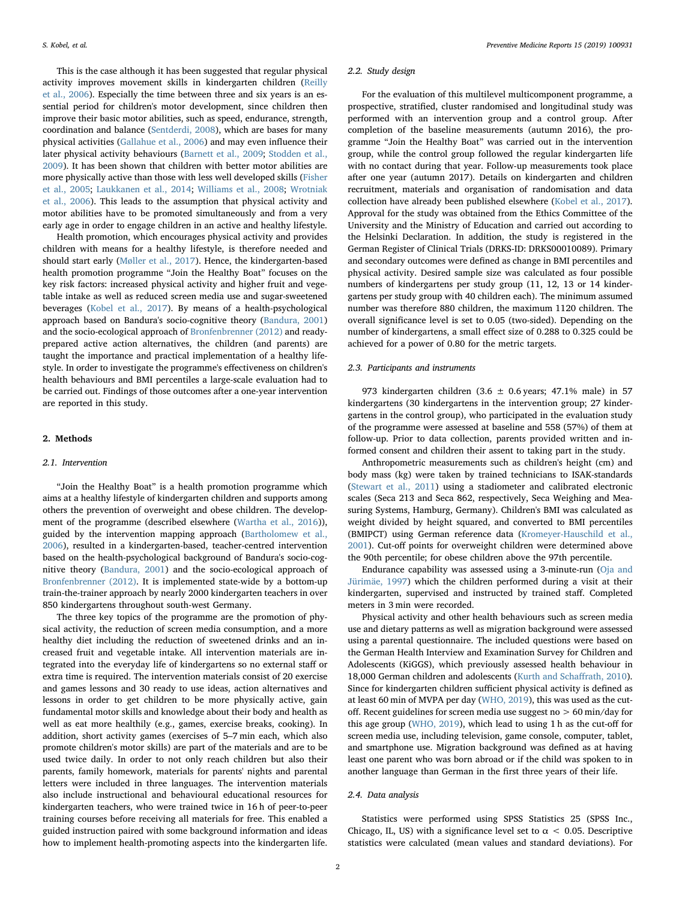This is the case although it has been suggested that regular physical activity improves movement skills in kindergarten children [\(Reilly](#page-6-9) [et al., 2006](#page-6-9)). Especially the time between three and six years is an essential period for children's motor development, since children then improve their basic motor abilities, such as speed, endurance, strength, coordination and balance [\(Sentderdi, 2008\)](#page-6-10), which are bases for many physical activities [\(Gallahue et al., 2006](#page-5-7)) and may even influence their later physical activity behaviours [\(Barnett et al., 2009;](#page-5-8) [Stodden et al.,](#page-6-11) [2009\)](#page-6-11). It has been shown that children with better motor abilities are more physically active than those with less well developed skills [\(Fisher](#page-5-9) [et al., 2005;](#page-5-9) [Laukkanen et al., 2014;](#page-6-12) [Williams et al., 2008](#page-6-13); [Wrotniak](#page-6-14) [et al., 2006\)](#page-6-14). This leads to the assumption that physical activity and motor abilities have to be promoted simultaneously and from a very early age in order to engage children in an active and healthy lifestyle.

Health promotion, which encourages physical activity and provides children with means for a healthy lifestyle, is therefore needed and should start early ([Møller et al., 2017](#page-6-15)). Hence, the kindergarten-based health promotion programme "Join the Healthy Boat" focuses on the key risk factors: increased physical activity and higher fruit and vegetable intake as well as reduced screen media use and sugar-sweetened beverages ([Kobel et al., 2017\)](#page-6-16). By means of a health-psychological approach based on Bandura's socio-cognitive theory [\(Bandura, 2001\)](#page-5-10) and the socio-ecological approach of [Bronfenbrenner \(2012\)](#page-5-11) and readyprepared active action alternatives, the children (and parents) are taught the importance and practical implementation of a healthy lifestyle. In order to investigate the programme's effectiveness on children's health behaviours and BMI percentiles a large-scale evaluation had to be carried out. Findings of those outcomes after a one-year intervention are reported in this study.

## 2. Methods

#### 2.1. Intervention

"Join the Healthy Boat" is a health promotion programme which aims at a healthy lifestyle of kindergarten children and supports among others the prevention of overweight and obese children. The development of the programme (described elsewhere [\(Wartha et al., 2016](#page-6-17))), guided by the intervention mapping approach ([Bartholomew et al.,](#page-5-12) [2006\)](#page-5-12), resulted in a kindergarten-based, teacher-centred intervention based on the health-psychological background of Bandura's socio-cognitive theory ([Bandura, 2001\)](#page-5-10) and the socio-ecological approach of [Bronfenbrenner \(2012\)](#page-5-11). It is implemented state-wide by a bottom-up train-the-trainer approach by nearly 2000 kindergarten teachers in over 850 kindergartens throughout south-west Germany.

The three key topics of the programme are the promotion of physical activity, the reduction of screen media consumption, and a more healthy diet including the reduction of sweetened drinks and an increased fruit and vegetable intake. All intervention materials are integrated into the everyday life of kindergartens so no external staff or extra time is required. The intervention materials consist of 20 exercise and games lessons and 30 ready to use ideas, action alternatives and lessons in order to get children to be more physically active, gain fundamental motor skills and knowledge about their body and health as well as eat more healthily (e.g., games, exercise breaks, cooking). In addition, short activity games (exercises of 5–7 min each, which also promote children's motor skills) are part of the materials and are to be used twice daily. In order to not only reach children but also their parents, family homework, materials for parents' nights and parental letters were included in three languages. The intervention materials also include instructional and behavioural educational resources for kindergarten teachers, who were trained twice in 16 h of peer-to-peer training courses before receiving all materials for free. This enabled a guided instruction paired with some background information and ideas how to implement health-promoting aspects into the kindergarten life.

#### 2.2. Study design

For the evaluation of this multilevel multicomponent programme, a prospective, stratified, cluster randomised and longitudinal study was performed with an intervention group and a control group. After completion of the baseline measurements (autumn 2016), the programme "Join the Healthy Boat" was carried out in the intervention group, while the control group followed the regular kindergarten life with no contact during that year. Follow-up measurements took place after one year (autumn 2017). Details on kindergarten and children recruitment, materials and organisation of randomisation and data collection have already been published elsewhere ([Kobel et al., 2017](#page-6-16)). Approval for the study was obtained from the Ethics Committee of the University and the Ministry of Education and carried out according to the Helsinki Declaration. In addition, the study is registered in the German Register of Clinical Trials (DRKS-ID: DRKS00010089). Primary and secondary outcomes were defined as change in BMI percentiles and physical activity. Desired sample size was calculated as four possible numbers of kindergartens per study group (11, 12, 13 or 14 kindergartens per study group with 40 children each). The minimum assumed number was therefore 880 children, the maximum 1120 children. The overall significance level is set to 0.05 (two-sided). Depending on the number of kindergartens, a small effect size of 0.288 to 0.325 could be achieved for a power of 0.80 for the metric targets.

#### 2.3. Participants and instruments

973 kindergarten children (3.6  $\pm$  0.6 years; 47.1% male) in 57 kindergartens (30 kindergartens in the intervention group; 27 kindergartens in the control group), who participated in the evaluation study of the programme were assessed at baseline and 558 (57%) of them at follow-up. Prior to data collection, parents provided written and informed consent and children their assent to taking part in the study.

Anthropometric measurements such as children's height (cm) and body mass (kg) were taken by trained technicians to ISAK-standards ([Stewart et al., 2011\)](#page-6-18) using a stadiometer and calibrated electronic scales (Seca 213 and Seca 862, respectively, Seca Weighing and Measuring Systems, Hamburg, Germany). Children's BMI was calculated as weight divided by height squared, and converted to BMI percentiles (BMIPCT) using German reference data ([Kromeyer-Hauschild et al.,](#page-6-19) [2001\)](#page-6-19). Cut-off points for overweight children were determined above the 90th percentile; for obese children above the 97th percentile.

Endurance capability was assessed using a 3-minute-run [\(Oja and](#page-6-20) [Jürimäe, 1997\)](#page-6-20) which the children performed during a visit at their kindergarten, supervised and instructed by trained staff. Completed meters in 3 min were recorded.

Physical activity and other health behaviours such as screen media use and dietary patterns as well as migration background were assessed using a parental questionnaire. The included questions were based on the German Health Interview and Examination Survey for Children and Adolescents (KiGGS), which previously assessed health behaviour in 18,000 German children and adolescents [\(Kurth and Scha](#page-6-21)ffrath, 2010). Since for kindergarten children sufficient physical activity is defined as at least 60 min of MVPA per day ([WHO, 2019\)](#page-6-8), this was used as the cutoff. Recent guidelines for screen media use suggest no > 60 min/day for this age group ([WHO, 2019\)](#page-6-8), which lead to using 1 h as the cut-off for screen media use, including television, game console, computer, tablet, and smartphone use. Migration background was defined as at having least one parent who was born abroad or if the child was spoken to in another language than German in the first three years of their life.

#### 2.4. Data analysis

Statistics were performed using SPSS Statistics 25 (SPSS Inc., Chicago, IL, US) with a significance level set to  $\alpha < 0.05$ . Descriptive statistics were calculated (mean values and standard deviations). For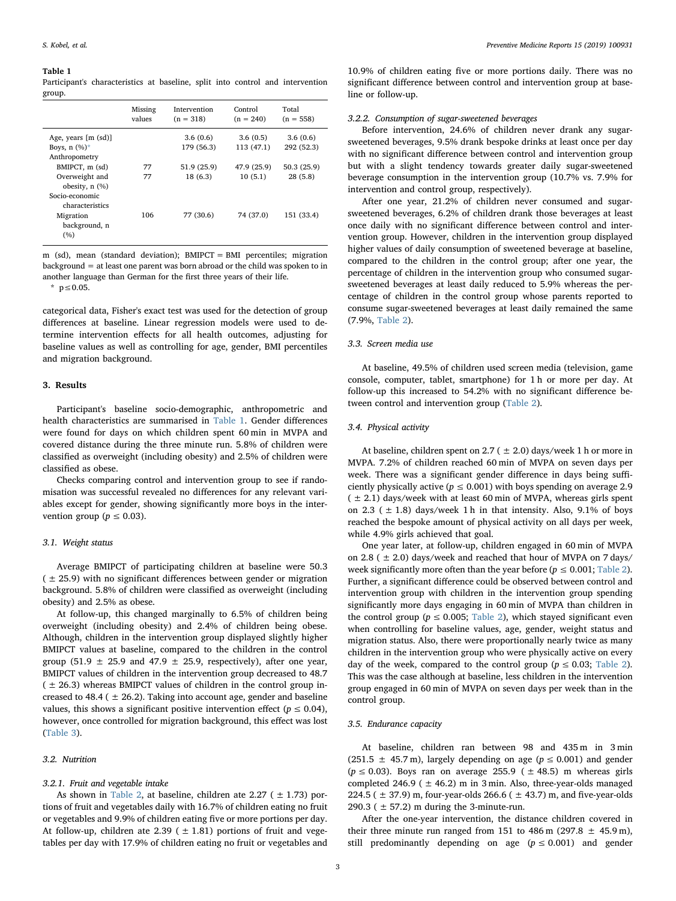#### <span id="page-2-0"></span>Table 1

Participant's characteristics at baseline, split into control and intervention group.

| Missing | Intervention | Control     | Total       |
|---------|--------------|-------------|-------------|
| values  | $(n = 318)$  | $(n = 240)$ | $(n = 558)$ |
|         | 3.6(0.6)     | 3.6(0.5)    | 3.6(0.6)    |
|         | 179 (56.3)   | 113 (47.1)  | 292 (52.3)  |
| 77      | 51.9 (25.9)  | 47.9 (25.9) | 50.3 (25.9) |
| 77      | 18 (6.3)     | 10(5.1)     | 28(5.8)     |
| 106     | 77 (30.6)    | 74 (37.0)   | 151 (33.4)  |
|         |              |             |             |

m (sd), mean (standard deviation); BMIPCT = BMI percentiles; migration background = at least one parent was born abroad or the child was spoken to in another language than German for the first three years of their life. \* p≤0.05.

<span id="page-2-1"></span>categorical data, Fisher's exact test was used for the detection of group differences at baseline. Linear regression models were used to determine intervention effects for all health outcomes, adjusting for baseline values as well as controlling for age, gender, BMI percentiles and migration background.

#### 3. Results

Participant's baseline socio-demographic, anthropometric and health characteristics are summarised in [Table 1.](#page-2-0) Gender differences were found for days on which children spent 60 min in MVPA and covered distance during the three minute run. 5.8% of children were classified as overweight (including obesity) and 2.5% of children were classified as obese.

Checks comparing control and intervention group to see if randomisation was successful revealed no differences for any relevant variables except for gender, showing significantly more boys in the intervention group ( $p \leq 0.03$ ).

## 3.1. Weight status

Average BMIPCT of participating children at baseline were 50.3  $(± 25.9)$  with no significant differences between gender or migration background. 5.8% of children were classified as overweight (including obesity) and 2.5% as obese.

At follow-up, this changed marginally to 6.5% of children being overweight (including obesity) and 2.4% of children being obese. Although, children in the intervention group displayed slightly higher BMIPCT values at baseline, compared to the children in the control group (51.9  $\pm$  25.9 and 47.9  $\pm$  25.9, respectively), after one year, BMIPCT values of children in the intervention group decreased to 48.7  $($   $\pm$  26.3) whereas BMIPCT values of children in the control group increased to 48.4 ( $\pm$  26.2). Taking into account age, gender and baseline values, this shows a significant positive intervention effect ( $p \le 0.04$ ), however, once controlled for migration background, this effect was lost ([Table 3](#page-3-0)).

## 3.2. Nutrition

#### 3.2.1. Fruit and vegetable intake

As shown in [Table 2,](#page-3-1) at baseline, children ate 2.27 ( $\pm$  1.73) portions of fruit and vegetables daily with 16.7% of children eating no fruit or vegetables and 9.9% of children eating five or more portions per day. At follow-up, children ate 2.39 ( $\pm$  1.81) portions of fruit and vegetables per day with 17.9% of children eating no fruit or vegetables and

10.9% of children eating five or more portions daily. There was no significant difference between control and intervention group at baseline or follow-up.

#### 3.2.2. Consumption of sugar-sweetened beverages

Before intervention, 24.6% of children never drank any sugarsweetened beverages, 9.5% drank bespoke drinks at least once per day with no significant difference between control and intervention group but with a slight tendency towards greater daily sugar-sweetened beverage consumption in the intervention group (10.7% vs. 7.9% for intervention and control group, respectively).

After one year, 21.2% of children never consumed and sugarsweetened beverages, 6.2% of children drank those beverages at least once daily with no significant difference between control and intervention group. However, children in the intervention group displayed higher values of daily consumption of sweetened beverage at baseline, compared to the children in the control group; after one year, the percentage of children in the intervention group who consumed sugarsweetened beverages at least daily reduced to 5.9% whereas the percentage of children in the control group whose parents reported to consume sugar-sweetened beverages at least daily remained the same (7.9%, [Table 2](#page-3-1)).

#### 3.3. Screen media use

At baseline, 49.5% of children used screen media (television, game console, computer, tablet, smartphone) for 1 h or more per day. At follow-up this increased to 54.2% with no significant difference between control and intervention group [\(Table 2\)](#page-3-1).

## 3.4. Physical activity

At baseline, children spent on 2.7 ( $\pm$  2.0) days/week 1 h or more in MVPA. 7.2% of children reached 60 min of MVPA on seven days per week. There was a significant gender difference in days being sufficiently physically active ( $p \le 0.001$ ) with boys spending on average 2.9  $(± 2.1)$  days/week with at least 60 min of MVPA, whereas girls spent on 2.3 ( $\pm$  1.8) days/week 1 h in that intensity. Also, 9.1% of boys reached the bespoke amount of physical activity on all days per week, while 4.9% girls achieved that goal.

One year later, at follow-up, children engaged in 60 min of MVPA on 2.8 ( $\pm$  2.0) days/week and reached that hour of MVPA on 7 days/ week significantly more often than the year before ( $p \le 0.001$ ; [Table 2](#page-3-1)). Further, a significant difference could be observed between control and intervention group with children in the intervention group spending significantly more days engaging in 60 min of MVPA than children in the control group ( $p \le 0.005$ ; [Table 2](#page-3-1)), which stayed significant even when controlling for baseline values, age, gender, weight status and migration status. Also, there were proportionally nearly twice as many children in the intervention group who were physically active on every day of the week, compared to the control group ( $p \le 0.03$ ; [Table 2](#page-3-1)). This was the case although at baseline, less children in the intervention group engaged in 60 min of MVPA on seven days per week than in the control group.

## 3.5. Endurance capacity

At baseline, children ran between 98 and 435 m in 3 min (251.5  $\pm$  45.7 m), largely depending on age ( $p \le 0.001$ ) and gender ( $p \le 0.03$ ). Boys ran on average 255.9 ( $\pm$  48.5) m whereas girls completed 246.9 ( $\pm$  46.2) m in 3 min. Also, three-year-olds managed 224.5 ( $\pm$  37.9) m, four-year-olds 266.6 ( $\pm$  43.7) m, and five-year-olds 290.3 ( $\pm$  57.2) m during the 3-minute-run.

After the one-year intervention, the distance children covered in their three minute run ranged from 151 to  $486 \text{ m}$  (297.8  $\pm$  45.9 m), still predominantly depending on age ( $p \le 0.001$ ) and gender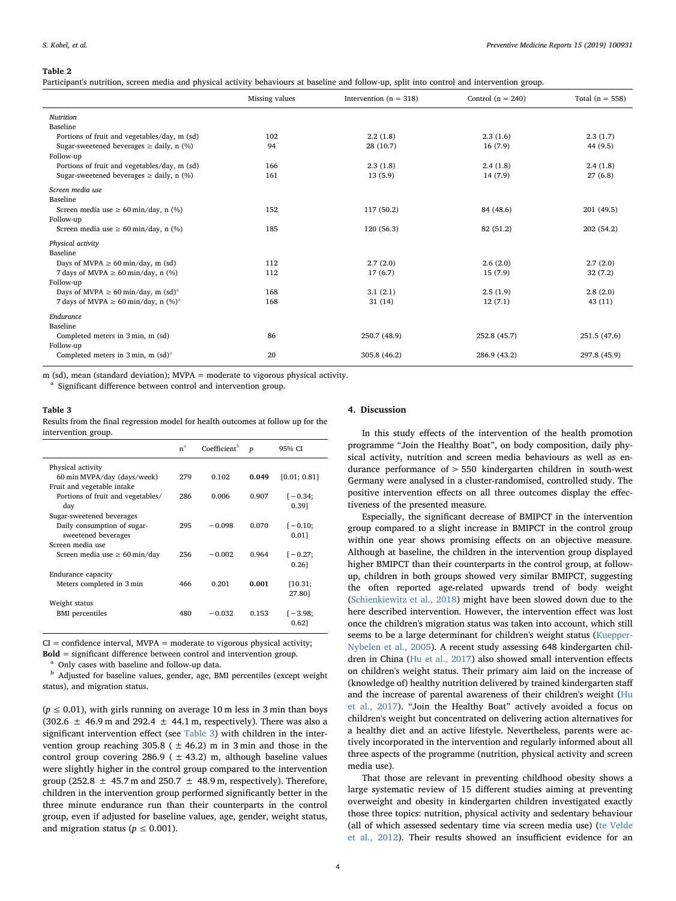#### <span id="page-3-1"></span>Table 2

Participant's nutrition, screen media and physical activity behaviours at baseline and follow-up, split into control and intervention group.

|                                                                  | Missing values | Control $(n = 240)$<br>Intervention $(n = 318)$ |              | Total $(n = 558)$ |
|------------------------------------------------------------------|----------------|-------------------------------------------------|--------------|-------------------|
| Nutrition                                                        |                |                                                 |              |                   |
| Baseline                                                         |                |                                                 |              |                   |
| Portions of fruit and vegetables/day, m (sd)                     | 102            | 2.2(1.8)                                        | 2.3(1.6)     | 2.3(1.7)          |
| Sugar-sweetened beverages $\ge$ daily, n (%)                     | 94             | 28 (10.7)                                       | 16(7.9)      | 44 (9.5)          |
| Follow-up                                                        |                |                                                 |              |                   |
| Portions of fruit and vegetables/day, m (sd)                     | 166            | 2.3(1.8)                                        | 2.4(1.8)     | 2.4(1.8)          |
| Sugar-sweetened beverages $\ge$ daily, n (%)                     | 161            | 13(5.9)                                         | 14 (7.9)     | 27(6.8)           |
| Screen media use                                                 |                |                                                 |              |                   |
| Baseline                                                         |                |                                                 |              |                   |
| Screen media use $\geq 60$ min/day, n (%)                        | 152            | 117 (50.2)                                      | 84 (48.6)    | 201 (49.5)        |
| Follow-up                                                        |                |                                                 |              |                   |
| Screen media use $\geq 60$ min/day, n (%)                        | 185            | 120(56.3)                                       | 82 (51.2)    | 202 (54.2)        |
| Physical activity                                                |                |                                                 |              |                   |
| Baseline                                                         |                |                                                 |              |                   |
| Days of MVPA $\geq 60$ min/day, m (sd)                           | 112            | 2.7(2.0)                                        | 2.6(2.0)     | 2.7(2.0)          |
| 7 days of MVPA $\geq$ 60 min/day, n (%)                          | 112            | 17(6.7)                                         | 15(7.9)      | 32(7.2)           |
| Follow-up                                                        |                |                                                 |              |                   |
| Days of MVPA $\geq 60$ min/day, m (sd) <sup>a</sup>              | 168            | 3.1(2.1)                                        | 2.5(1.9)     | 2.8(2.0)          |
| 7 days of MVPA $\geq$ 60 min/day, n $(\%)^a$                     | 168            | 31(14)                                          | 12(7.1)      | 43(11)            |
|                                                                  |                |                                                 |              |                   |
| Endurance                                                        |                |                                                 |              |                   |
| Baseline                                                         |                |                                                 |              |                   |
| Completed meters in 3 min, m (sd)                                | 86             | 250.7 (48.9)                                    | 252.8 (45.7) | 251.5 (47.6)      |
| Follow-up                                                        |                |                                                 |              |                   |
| Completed meters in $3 \text{ min}$ , m $\text{(sd)}^{\text{a}}$ | 20             | 305.8 (46.2)                                    | 286.9 (43.2) | 297.8 (45.9)      |

m (sd), mean (standard deviation); MVPA = moderate to vigorous physical activity.

<span id="page-3-2"></span>Significant difference between control and intervention group.

#### <span id="page-3-0"></span>Table 3

Results from the final regression model for health outcomes at follow up for the intervention group.

|                                                    | n <sup>a</sup> | Coefficient <sup>b</sup> | $\boldsymbol{p}$ | 95% CI                |
|----------------------------------------------------|----------------|--------------------------|------------------|-----------------------|
| Physical activity                                  |                |                          |                  |                       |
| 60 min MVPA/day (days/week)                        | 279            | 0.102                    | 0.049            | [0.01; 0.81]          |
| Fruit and vegetable intake                         |                |                          |                  |                       |
| Portions of fruit and vegetables/<br>day           | 286            | 0.006                    | 0.907            | $[-0.34:$<br>0.391    |
| Sugar-sweetened beverages                          |                |                          |                  |                       |
| Daily consumption of sugar-<br>sweetened beverages | 295            | $-0.098$                 | 0.070            | $[-0.10;$<br>$0.01$ ] |
| Screen media use                                   |                |                          |                  |                       |
| Screen media use $\geq 60$ min/day                 | 256            | $-0.002$                 | 0.964            | $[-0.27;$<br>$0.26$ ] |
| Endurance capacity                                 |                |                          |                  |                       |
| Meters completed in 3 min                          | 466            | 0.201                    | 0.001            | [10.31]<br>27.80]     |
| Weight status                                      |                |                          |                  |                       |
| <b>BMI</b> percentiles                             | 480            | $-0.032$                 | 0.153            | I – 3.98;<br>0.62]    |

 $CI =$  confidence interval,  $MVPA =$  moderate to vigorous physical activity;

Bold = significant difference between control and intervention group.

<span id="page-3-3"></span>Only cases with baseline and follow-up data.

<span id="page-3-4"></span><sup>b</sup> Adjusted for baseline values, gender, age, BMI percentiles (except weight status), and migration status.

 $(p \le 0.01)$ , with girls running on average 10 m less in 3 min than boys (302.6  $\pm$  46.9 m and 292.4  $\pm$  44.1 m, respectively). There was also a significant intervention effect (see [Table 3](#page-3-0)) with children in the intervention group reaching 305.8 ( $\pm$  46.2) m in 3 min and those in the control group covering 286.9 ( $\pm$  43.2) m, although baseline values were slightly higher in the control group compared to the intervention group (252.8  $\pm$  45.7 m and 250.7  $\pm$  48.9 m, respectively). Therefore, children in the intervention group performed significantly better in the three minute endurance run than their counterparts in the control group, even if adjusted for baseline values, age, gender, weight status, and migration status ( $p \leq 0.001$ ).

## 4. Discussion

In this study effects of the intervention of the health promotion programme "Join the Healthy Boat", on body composition, daily physical activity, nutrition and screen media behaviours as well as endurance performance of > 550 kindergarten children in south-west Germany were analysed in a cluster-randomised, controlled study. The positive intervention effects on all three outcomes display the effectiveness of the presented measure.

Especially, the significant decrease of BMIPCT in the intervention group compared to a slight increase in BMIPCT in the control group within one year shows promising effects on an objective measure. Although at baseline, the children in the intervention group displayed higher BMIPCT than their counterparts in the control group, at followup, children in both groups showed very similar BMIPCT, suggesting the often reported age-related upwards trend of body weight ([Schienkiewitz et al., 2018](#page-6-22)) might have been slowed down due to the here described intervention. However, the intervention effect was lost once the children's migration status was taken into account, which still seems to be a large determinant for children's weight status ([Kuepper-](#page-6-23)[Nybelen et al., 2005\)](#page-6-23). A recent study assessing 648 kindergarten children in China [\(Hu et al., 2017\)](#page-5-13) also showed small intervention effects on children's weight status. Their primary aim laid on the increase of (knowledge of) healthy nutrition delivered by trained kindergarten staff and the increase of parental awareness of their children's weight [\(Hu](#page-5-13) [et al., 2017](#page-5-13)). "Join the Healthy Boat" actively avoided a focus on children's weight but concentrated on delivering action alternatives for a healthy diet and an active lifestyle. Nevertheless, parents were actively incorporated in the intervention and regularly informed about all three aspects of the programme (nutrition, physical activity and screen media use).

That those are relevant in preventing childhood obesity shows a large systematic review of 15 different studies aiming at preventing overweight and obesity in kindergarten children investigated exactly those three topics: nutrition, physical activity and sedentary behaviour (all of which assessed sedentary time via screen media use) [\(te Velde](#page-6-24) [et al., 2012\)](#page-6-24). Their results showed an insufficient evidence for an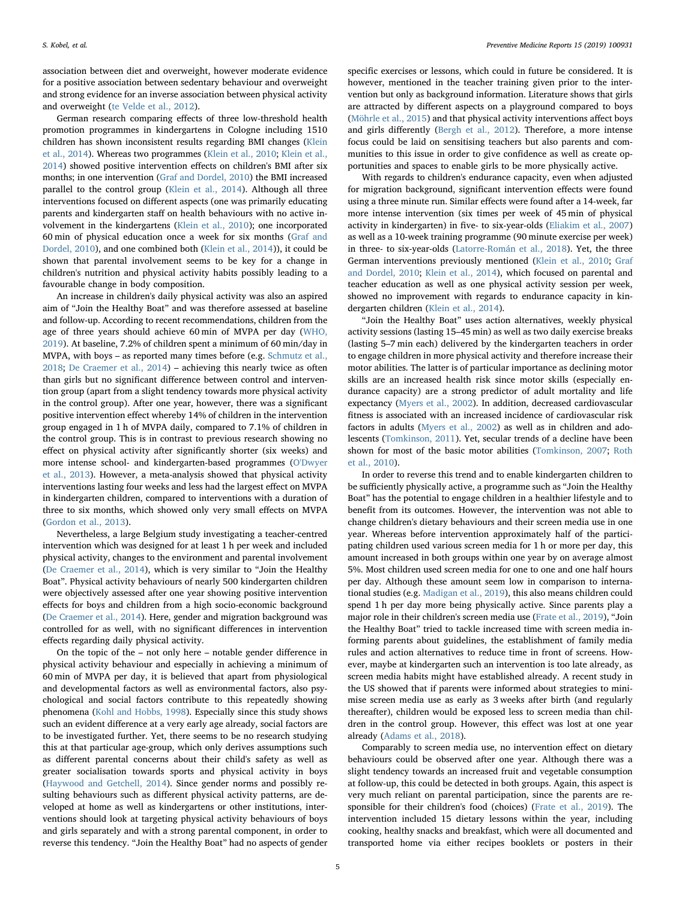association between diet and overweight, however moderate evidence for a positive association between sedentary behaviour and overweight and strong evidence for an inverse association between physical activity and overweight ([te Velde et al., 2012](#page-6-24)).

German research comparing effects of three low-threshold health promotion programmes in kindergartens in Cologne including 1510 children has shown inconsistent results regarding BMI changes [\(Klein](#page-6-25) [et al., 2014\)](#page-6-25). Whereas two programmes ([Klein et al., 2010;](#page-5-14) [Klein et al.,](#page-6-25) [2014\)](#page-6-25) showed positive intervention effects on children's BMI after six months; in one intervention ([Graf and Dordel, 2010\)](#page-5-15) the BMI increased parallel to the control group ([Klein et al., 2014](#page-6-25)). Although all three interventions focused on different aspects (one was primarily educating parents and kindergarten staff on health behaviours with no active involvement in the kindergartens [\(Klein et al., 2010](#page-5-14)); one incorporated 60 min of physical education once a week for six months ([Graf and](#page-5-15) [Dordel, 2010\)](#page-5-15), and one combined both [\(Klein et al., 2014\)](#page-6-25)), it could be shown that parental involvement seems to be key for a change in children's nutrition and physical activity habits possibly leading to a favourable change in body composition.

An increase in children's daily physical activity was also an aspired aim of "Join the Healthy Boat" and was therefore assessed at baseline and follow-up. According to recent recommendations, children from the age of three years should achieve 60 min of MVPA per day [\(WHO,](#page-6-8) [2019\)](#page-6-8). At baseline, 7.2% of children spent a minimum of 60 min/day in MVPA, with boys – as reported many times before (e.g. [Schmutz et al.,](#page-6-26) [2018;](#page-6-26) [De Craemer et al., 2014](#page-5-16)) – achieving this nearly twice as often than girls but no significant difference between control and intervention group (apart from a slight tendency towards more physical activity in the control group). After one year, however, there was a significant positive intervention effect whereby 14% of children in the intervention group engaged in 1 h of MVPA daily, compared to 7.1% of children in the control group. This is in contrast to previous research showing no effect on physical activity after significantly shorter (six weeks) and more intense school- and kindergarten-based programmes [\(O'Dwyer](#page-6-27) [et al., 2013](#page-6-27)). However, a meta-analysis showed that physical activity interventions lasting four weeks and less had the largest effect on MVPA in kindergarten children, compared to interventions with a duration of three to six months, which showed only very small effects on MVPA ([Gordon et al., 2013](#page-5-17)).

Nevertheless, a large Belgium study investigating a teacher-centred intervention which was designed for at least 1 h per week and included physical activity, changes to the environment and parental involvement (De [Craemer et al., 2014\)](#page-5-16), which is very similar to "Join the Healthy Boat". Physical activity behaviours of nearly 500 kindergarten children were objectively assessed after one year showing positive intervention effects for boys and children from a high socio-economic background ([De Craemer et al., 2014](#page-5-16)). Here, gender and migration background was controlled for as well, with no significant differences in intervention effects regarding daily physical activity.

On the topic of the – not only here – notable gender difference in physical activity behaviour and especially in achieving a minimum of 60 min of MVPA per day, it is believed that apart from physiological and developmental factors as well as environmental factors, also psychological and social factors contribute to this repeatedly showing phenomena [\(Kohl and Hobbs, 1998\)](#page-6-28). Especially since this study shows such an evident difference at a very early age already, social factors are to be investigated further. Yet, there seems to be no research studying this at that particular age-group, which only derives assumptions such as different parental concerns about their child's safety as well as greater socialisation towards sports and physical activity in boys ([Haywood and Getchell, 2014\)](#page-5-18). Since gender norms and possibly resulting behaviours such as different physical activity patterns, are developed at home as well as kindergartens or other institutions, interventions should look at targeting physical activity behaviours of boys and girls separately and with a strong parental component, in order to reverse this tendency. "Join the Healthy Boat" had no aspects of gender

specific exercises or lessons, which could in future be considered. It is however, mentioned in the teacher training given prior to the intervention but only as background information. Literature shows that girls are attracted by different aspects on a playground compared to boys ([Möhrle et al., 2015](#page-6-29)) and that physical activity interventions affect boys and girls differently [\(Bergh et al., 2012](#page-5-19)). Therefore, a more intense focus could be laid on sensitising teachers but also parents and communities to this issue in order to give confidence as well as create opportunities and spaces to enable girls to be more physically active.

With regards to children's endurance capacity, even when adjusted for migration background, significant intervention effects were found using a three minute run. Similar effects were found after a 14-week, far more intense intervention (six times per week of 45 min of physical activity in kindergarten) in five- to six-year-olds [\(Eliakim et al., 2007\)](#page-5-20) as well as a 10-week training programme (90 minute exercise per week) in three- to six-year-olds ([Latorre-Román et al., 2018\)](#page-6-30). Yet, the three German interventions previously mentioned [\(Klein et al., 2010;](#page-5-14) [Graf](#page-5-15) [and Dordel, 2010;](#page-5-15) [Klein et al., 2014\)](#page-6-25), which focused on parental and teacher education as well as one physical activity session per week, showed no improvement with regards to endurance capacity in kindergarten children [\(Klein et al., 2014\)](#page-6-25).

"Join the Healthy Boat" uses action alternatives, weekly physical activity sessions (lasting 15–45 min) as well as two daily exercise breaks (lasting 5–7 min each) delivered by the kindergarten teachers in order to engage children in more physical activity and therefore increase their motor abilities. The latter is of particular importance as declining motor skills are an increased health risk since motor skills (especially endurance capacity) are a strong predictor of adult mortality and life expectancy ([Myers et al., 2002\)](#page-6-31). In addition, decreased cardiovascular fitness is associated with an increased incidence of cardiovascular risk factors in adults [\(Myers et al., 2002\)](#page-6-31) as well as in children and adolescents ([Tomkinson, 2011](#page-6-32)). Yet, secular trends of a decline have been shown for most of the basic motor abilities [\(Tomkinson, 2007](#page-6-33); [Roth](#page-6-34) [et al., 2010](#page-6-34)).

In order to reverse this trend and to enable kindergarten children to be sufficiently physically active, a programme such as "Join the Healthy Boat" has the potential to engage children in a healthier lifestyle and to benefit from its outcomes. However, the intervention was not able to change children's dietary behaviours and their screen media use in one year. Whereas before intervention approximately half of the participating children used various screen media for 1 h or more per day, this amount increased in both groups within one year by on average almost 5%. Most children used screen media for one to one and one half hours per day. Although these amount seem low in comparison to international studies (e.g. [Madigan et al., 2019\)](#page-6-35), this also means children could spend 1 h per day more being physically active. Since parents play a major role in their children's screen media use [\(Frate et al., 2019\)](#page-5-21), "Join the Healthy Boat" tried to tackle increased time with screen media informing parents about guidelines, the establishment of family media rules and action alternatives to reduce time in front of screens. However, maybe at kindergarten such an intervention is too late already, as screen media habits might have established already. A recent study in the US showed that if parents were informed about strategies to minimise screen media use as early as 3 weeks after birth (and regularly thereafter), children would be exposed less to screen media than children in the control group. However, this effect was lost at one year already [\(Adams et al., 2018\)](#page-5-22).

Comparably to screen media use, no intervention effect on dietary behaviours could be observed after one year. Although there was a slight tendency towards an increased fruit and vegetable consumption at follow-up, this could be detected in both groups. Again, this aspect is very much reliant on parental participation, since the parents are responsible for their children's food (choices) ([Frate et al., 2019\)](#page-5-21). The intervention included 15 dietary lessons within the year, including cooking, healthy snacks and breakfast, which were all documented and transported home via either recipes booklets or posters in their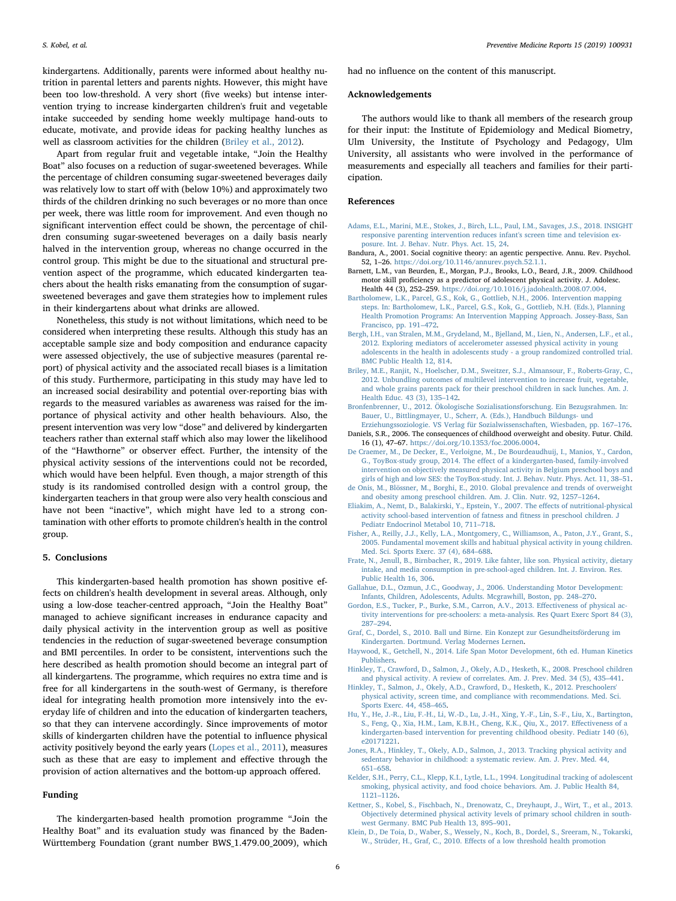kindergartens. Additionally, parents were informed about healthy nutrition in parental letters and parents nights. However, this might have been too low-threshold. A very short (five weeks) but intense intervention trying to increase kindergarten children's fruit and vegetable intake succeeded by sending home weekly multipage hand-outs to educate, motivate, and provide ideas for packing healthy lunches as well as classroom activities for the children [\(Briley et al., 2012\)](#page-5-23).

Apart from regular fruit and vegetable intake, "Join the Healthy Boat" also focuses on a reduction of sugar-sweetened beverages. While the percentage of children consuming sugar-sweetened beverages daily was relatively low to start off with (below 10%) and approximately two thirds of the children drinking no such beverages or no more than once per week, there was little room for improvement. And even though no significant intervention effect could be shown, the percentage of children consuming sugar-sweetened beverages on a daily basis nearly halved in the intervention group, whereas no change occurred in the control group. This might be due to the situational and structural prevention aspect of the programme, which educated kindergarten teachers about the health risks emanating from the consumption of sugarsweetened beverages and gave them strategies how to implement rules in their kindergartens about what drinks are allowed.

Nonetheless, this study is not without limitations, which need to be considered when interpreting these results. Although this study has an acceptable sample size and body composition and endurance capacity were assessed objectively, the use of subjective measures (parental report) of physical activity and the associated recall biases is a limitation of this study. Furthermore, participating in this study may have led to an increased social desirability and potential over-reporting bias with regards to the measured variables as awareness was raised for the importance of physical activity and other health behaviours. Also, the present intervention was very low "dose" and delivered by kindergarten teachers rather than external staff which also may lower the likelihood of the "Hawthorne" or observer effect. Further, the intensity of the physical activity sessions of the interventions could not be recorded, which would have been helpful. Even though, a major strength of this study is its randomised controlled design with a control group, the kindergarten teachers in that group were also very health conscious and have not been "inactive", which might have led to a strong contamination with other efforts to promote children's health in the control group.

#### 5. Conclusions

This kindergarten-based health promotion has shown positive effects on children's health development in several areas. Although, only using a low-dose teacher-centred approach, "Join the Healthy Boat" managed to achieve significant increases in endurance capacity and daily physical activity in the intervention group as well as positive tendencies in the reduction of sugar-sweetened beverage consumption and BMI percentiles. In order to be consistent, interventions such the here described as health promotion should become an integral part of all kindergartens. The programme, which requires no extra time and is free for all kindergartens in the south-west of Germany, is therefore ideal for integrating health promotion more intensively into the everyday life of children and into the education of kindergarten teachers, so that they can intervene accordingly. Since improvements of motor skills of kindergarten children have the potential to influence physical activity positively beyond the early years ([Lopes et al., 2011\)](#page-6-36), measures such as these that are easy to implement and effective through the provision of action alternatives and the bottom-up approach offered.

#### Funding

The kindergarten-based health promotion programme "Join the Healthy Boat" and its evaluation study was financed by the Baden-Württemberg Foundation (grant number BWS\_1.479.00\_2009), which had no influence on the content of this manuscript.

## Acknowledgements

The authors would like to thank all members of the research group for their input: the Institute of Epidemiology and Medical Biometry, Ulm University, the Institute of Psychology and Pedagogy, Ulm University, all assistants who were involved in the performance of measurements and especially all teachers and families for their participation.

#### References

- <span id="page-5-22"></span>[Adams, E.L., Marini, M.E., Stokes, J., Birch, L.L., Paul, I.M., Savages, J.S., 2018. INSIGHT](http://refhub.elsevier.com/S2211-3355(19)30105-6/rf0005) [responsive parenting intervention reduces infant's screen time and television ex](http://refhub.elsevier.com/S2211-3355(19)30105-6/rf0005)[posure. Int. J. Behav. Nutr. Phys. Act. 15, 24.](http://refhub.elsevier.com/S2211-3355(19)30105-6/rf0005)
- <span id="page-5-10"></span>Bandura, A., 2001. Social cognitive theory: an agentic perspective. Annu. Rev. Psychol. 52, 1–26. <https://doi.org/10.1146/annurev.psych.52.1.1>.
- <span id="page-5-8"></span>Barnett, L.M., van Beurden, E., Morgan, P.J., Brooks, L.O., Beard, J.R., 2009. Childhood motor skill proficiency as a predictor of adolescent physical activity. J. Adolesc. Health 44 (3), 252–259. [https://doi.org/10.1016/j.jadohealth.2008.07.004.](https://doi.org/10.1016/j.jadohealth.2008.07.004)
- <span id="page-5-12"></span>[Bartholomew, L.K., Parcel, G.S., Kok, G., Gottlieb, N.H., 2006. Intervention mapping](http://refhub.elsevier.com/S2211-3355(19)30105-6/rf0020) [steps. In: Bartholomew, L.K., Parcel, G.S., Kok, G., Gottlieb, N.H. \(Eds.\), Planning](http://refhub.elsevier.com/S2211-3355(19)30105-6/rf0020) [Health Promotion Programs: An Intervention Mapping Approach. Jossey-Bass, San](http://refhub.elsevier.com/S2211-3355(19)30105-6/rf0020) [Francisco, pp. 191](http://refhub.elsevier.com/S2211-3355(19)30105-6/rf0020)–472.
- <span id="page-5-19"></span>[Bergh, I.H., van Stralen, M.M., Grydeland, M., Bjelland, M., Lien, N., Andersen, L.F., et al.,](http://refhub.elsevier.com/S2211-3355(19)30105-6/rf0025) [2012. Exploring mediators of accelerometer assessed physical activity in young](http://refhub.elsevier.com/S2211-3355(19)30105-6/rf0025) [adolescents in the health in adolescents study - a group randomized controlled trial.](http://refhub.elsevier.com/S2211-3355(19)30105-6/rf0025) [BMC Public Health 12, 814.](http://refhub.elsevier.com/S2211-3355(19)30105-6/rf0025)
- <span id="page-5-23"></span>Briley, M.E., Ranjit, N., Hoelscher, D.M., Sweitzer, S.J., Almansour, F., Roberts-Gray, C. [2012. Unbundling outcomes of multilevel intervention to increase fruit, vegetable,](http://refhub.elsevier.com/S2211-3355(19)30105-6/rf0030) [and whole grains parents pack for their preschool children in sack lunches. Am. J.](http://refhub.elsevier.com/S2211-3355(19)30105-6/rf0030) [Health Educ. 43 \(3\), 135](http://refhub.elsevier.com/S2211-3355(19)30105-6/rf0030)–142.
- <span id="page-5-11"></span>[Bronfenbrenner, U., 2012. Ökologische Sozialisationsforschung. Ein Bezugsrahmen. In:](http://refhub.elsevier.com/S2211-3355(19)30105-6/rf0035) [Bauer, U., Bittlingmayer, U., Scherr, A. \(Eds.\), Handbuch Bildungs- und](http://refhub.elsevier.com/S2211-3355(19)30105-6/rf0035)
- <span id="page-5-2"></span>[Erziehungssoziologie. VS Verlag für Sozialwissenschaften, Wiesbaden, pp. 167](http://refhub.elsevier.com/S2211-3355(19)30105-6/rf0035)–176. Daniels, S.R., 2006. The consequences of childhood overweight and obesity. Futur. Child. 16 (1), 47–67. <https://doi.org/10.1353/foc.2006.0004>.
- <span id="page-5-16"></span>[De Craemer, M., De Decker, E., Verloigne, M., De Bourdeaudhuij, I., Manios, Y., Cardon,](http://refhub.elsevier.com/S2211-3355(19)30105-6/rf0045) G., ToyBox-study group, 2014. The eff[ect of a kindergarten-based, family-involved](http://refhub.elsevier.com/S2211-3355(19)30105-6/rf0045) [intervention on objectively measured physical activity in Belgium preschool boys and](http://refhub.elsevier.com/S2211-3355(19)30105-6/rf0045) [girls of high and low SES: the ToyBox-study. Int. J. Behav. Nutr. Phys. Act. 11, 38](http://refhub.elsevier.com/S2211-3355(19)30105-6/rf0045)–51.
- <span id="page-5-0"></span>[de Onis, M., Blössner, M., Borghi, E., 2010. Global prevalence and trends of overweight](http://refhub.elsevier.com/S2211-3355(19)30105-6/rf0050) [and obesity among preschool children. Am. J. Clin. Nutr. 92, 1257](http://refhub.elsevier.com/S2211-3355(19)30105-6/rf0050)–1264.
- <span id="page-5-20"></span>[Eliakim, A., Nemt, D., Balakirski, Y., Epstein, Y., 2007. The e](http://refhub.elsevier.com/S2211-3355(19)30105-6/rf0055)ffects of nutritional-physical [activity school-based intervention of fatness and](http://refhub.elsevier.com/S2211-3355(19)30105-6/rf0055) fitness in preschool children. J [Pediatr Endocrinol Metabol 10, 711](http://refhub.elsevier.com/S2211-3355(19)30105-6/rf0055)–718.
- <span id="page-5-9"></span>[Fisher, A., Reilly, J.J., Kelly, L.A., Montgomery, C., Williamson, A., Paton, J.Y., Grant, S.,](http://refhub.elsevier.com/S2211-3355(19)30105-6/rf0060) [2005. Fundamental movement skills and habitual physical activity in young children.](http://refhub.elsevier.com/S2211-3355(19)30105-6/rf0060) [Med. Sci. Sports Exerc. 37 \(4\), 684](http://refhub.elsevier.com/S2211-3355(19)30105-6/rf0060)–688.
- <span id="page-5-21"></span>[Frate, N., Jenull, B., Birnbacher, R., 2019. Like fahter, like son. Physical activity, dietary](http://refhub.elsevier.com/S2211-3355(19)30105-6/rf0065) [intake, and media consumption in pre-school-aged children. Int. J. Environ. Res.](http://refhub.elsevier.com/S2211-3355(19)30105-6/rf0065) [Public Health 16, 306](http://refhub.elsevier.com/S2211-3355(19)30105-6/rf0065).
- <span id="page-5-7"></span>[Gallahue, D.L., Ozmun, J.C., Goodway, J., 2006. Understanding Motor Development:](http://refhub.elsevier.com/S2211-3355(19)30105-6/rf0070) [Infants, Children, Adolescents, Adults. Mcgrawhill, Boston, pp. 248](http://refhub.elsevier.com/S2211-3355(19)30105-6/rf0070)–270.
- <span id="page-5-17"></span>[Gordon, E.S., Tucker, P., Burke, S.M., Carron, A.V., 2013. E](http://refhub.elsevier.com/S2211-3355(19)30105-6/rf0075)ffectiveness of physical ac[tivity interventions for pre-schoolers: a meta-analysis. Res Quart Exerc Sport 84 \(3\),](http://refhub.elsevier.com/S2211-3355(19)30105-6/rf0075) 287–[294](http://refhub.elsevier.com/S2211-3355(19)30105-6/rf0075).
- <span id="page-5-15"></span>[Graf, C., Dordel, S., 2010. Ball und Birne. Ein Konzept zur Gesundheitsförderung im](http://refhub.elsevier.com/S2211-3355(19)30105-6/rf0080) [Kindergarten. Dortmund. Verlag Modernes Lernen.](http://refhub.elsevier.com/S2211-3355(19)30105-6/rf0080)
- <span id="page-5-18"></span>[Haywood, K., Getchell, N., 2014. Life Span Motor Development, 6th ed. Human Kinetics](http://refhub.elsevier.com/S2211-3355(19)30105-6/rf0085) [Publishers.](http://refhub.elsevier.com/S2211-3355(19)30105-6/rf0085)
- <span id="page-5-1"></span>[Hinkley, T., Crawford, D., Salmon, J., Okely, A.D., Hesketh, K., 2008. Preschool children](http://refhub.elsevier.com/S2211-3355(19)30105-6/rf0090) and [physical activity. A review of correlates. Am. J. Prev. Med. 34 \(5\), 435](http://refhub.elsevier.com/S2211-3355(19)30105-6/rf0090)–441.
- <span id="page-5-6"></span>[Hinkley, T., Salmon, J., Okely, A.D., Crawford, D., Hesketh, K., 2012. Preschoolers'](http://refhub.elsevier.com/S2211-3355(19)30105-6/rf0095) [physical activity, screen time, and compliance with recommendations. Med. Sci.](http://refhub.elsevier.com/S2211-3355(19)30105-6/rf0095) [Sports Exerc. 44, 458](http://refhub.elsevier.com/S2211-3355(19)30105-6/rf0095)–465.
- <span id="page-5-13"></span>[Hu, Y., He, J.-R., Liu, F.-H., Li, W.-D., Lu, J.-H., Xing, Y.-F., Lin, S.-F., Liu, X., Bartington,](http://refhub.elsevier.com/S2211-3355(19)30105-6/rf0100) [S., Feng, Q., Xia, H.M., Lam, K.B.H., Cheng, K.K., Qiu, X., 2017. E](http://refhub.elsevier.com/S2211-3355(19)30105-6/rf0100)ffectiveness of a [kindergarten-based intervention for preventing childhood obesity. Pediatr 140 \(6\),](http://refhub.elsevier.com/S2211-3355(19)30105-6/rf0100) [e20171221](http://refhub.elsevier.com/S2211-3355(19)30105-6/rf0100).
- <span id="page-5-4"></span>[Jones, R.A., Hinkley, T., Okely, A.D., Salmon, J., 2013. Tracking physical activity and](http://refhub.elsevier.com/S2211-3355(19)30105-6/rf0105) [sedentary behavior in childhood: a systematic review. Am. J. Prev. Med. 44,](http://refhub.elsevier.com/S2211-3355(19)30105-6/rf0105) 651–[658](http://refhub.elsevier.com/S2211-3355(19)30105-6/rf0105).
- <span id="page-5-3"></span>[Kelder, S.H., Perry, C.L., Klepp, K.I., Lytle, L.L., 1994. Longitudinal tracking of adolescent](http://refhub.elsevier.com/S2211-3355(19)30105-6/rf0110) [smoking, physical activity, and food choice behaviors. Am. J. Public Health 84,](http://refhub.elsevier.com/S2211-3355(19)30105-6/rf0110) 1121–[1126](http://refhub.elsevier.com/S2211-3355(19)30105-6/rf0110).
- <span id="page-5-5"></span>[Kettner, S., Kobel, S., Fischbach, N., Drenowatz, C., Dreyhaupt, J., Wirt, T., et al., 2013.](http://refhub.elsevier.com/S2211-3355(19)30105-6/rf0115) [Objectively determined physical activity levels of primary school children in south](http://refhub.elsevier.com/S2211-3355(19)30105-6/rf0115)[west Germany. BMC Pub Health 13, 895](http://refhub.elsevier.com/S2211-3355(19)30105-6/rf0115)–901.
- <span id="page-5-14"></span>[Klein, D., De Toia, D., Waber, S., Wessely, N., Koch, B., Dordel, S., Sreeram, N., Tokarski,](http://refhub.elsevier.com/S2211-3355(19)30105-6/rf0120) W., Strüder, H., Graf, C., 2010. Eff[ects of a low threshold health promotion](http://refhub.elsevier.com/S2211-3355(19)30105-6/rf0120)